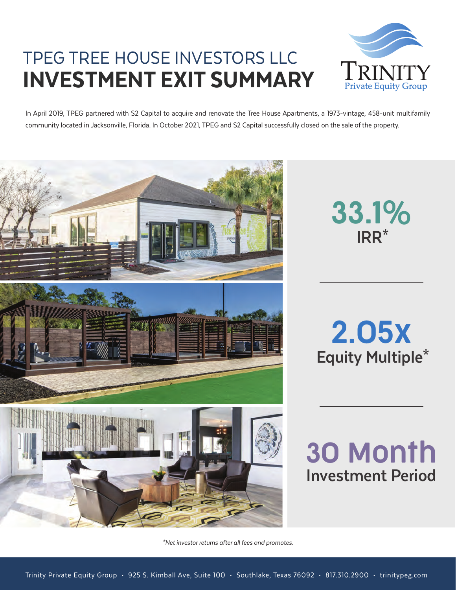# TPEG TREE HOUSE INVESTORS LLC INVESTMENT EXIT SUMMARY



In April 2019, TPEG partnered with S2 Capital to acquire and renovate the Tree House Apartments, a 1973-vintage, 458-unit multifamily community located in Jacksonville, Florida. In October 2021, TPEG and S2 Capital successfully closed on the sale of the property.



**IRR\*** 33.1%

**Equity Multiple\*** 2.05x

**Investment Period** 30 Month

\*Net investor returns after all fees and promotes.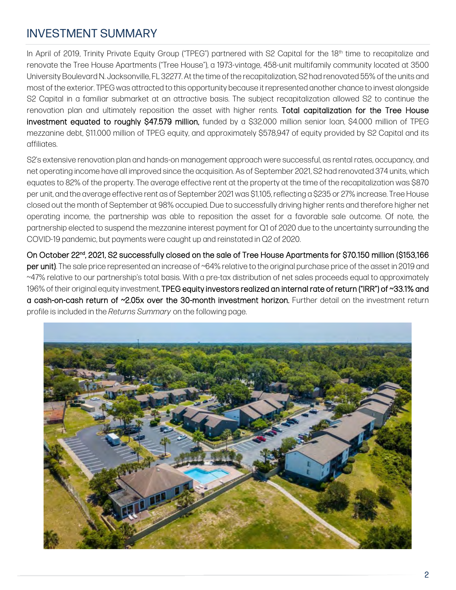## INVESTMENT SUMMARY

In April of 2019, Trinity Private Equity Group ("TPEG") partnered with S2 Capital for the 18<sup>th</sup> time to recapitalize and renovate the Tree House Apartments ("Tree House"), a 1973-vintage, 458-unit multifamily community located at 3500 University Boulevard N. Jacksonville, FL 32277. At the time of the recapitalization, S2 had renovated 55% of the units and most of the exterior. TPEG was attracted to this opportunity because it represented another chance to invest alongside S2 Capital in a familiar submarket at an attractive basis. The subject recapitalization allowed S2 to continue the renovation plan and ultimately reposition the asset with higher rents. Total capitalization for the Tree House investment equated to roughly \$47.579 million, funded by a \$32.000 million senior loan, \$4.000 million of TPEG mezzanine debt, \$11.000 million of TPEG equity, and approximately \$578,947 of equity provided by S2 Capital and its affiliates.

S2's extensive renovation plan and hands-on management approach were successful, as rental rates, occupancy, and net operating income have all improved since the acquisition. As of September 2021, S2 had renovated 374 units, which equates to 82% of the property. The average effective rent at the property at the time of the recapitalization was \$870 per unit, and the average effective rent as of September 2021 was \$1,105, reflecting a \$235 or 27% increase. Tree House closed out the month of September at 98% occupied. Due to successfully driving higher rents and therefore higher net operating income, the partnership was able to reposition the asset for a favorable sale outcome. Of note, the partnership elected to suspend the mezzanine interest payment for Q1 of 2020 due to the uncertainty surrounding the COVID-19 pandemic, but payments were caught up and reinstated in Q2 of 2020.

On October 22<sup>nd</sup>, 2021, S2 successfully closed on the sale of Tree House Apartments for \$70.150 million (\$153,166 per unit). The sale price represented an increase of ~64% relative to the original purchase price of the asset in 2019 and ~47% relative to our partnership's total basis. With a pre-tax distribution of net sales proceeds equal to approximately 196% of their original equity investment, TPEG equity investors realized an internal rate of return ("IRR") of ~33.1% and a cash-on-cash return of ~2.05x over the 30-month investment horizon. Further detail on the investment return profile is included in the *Returns Summary* on the following page.